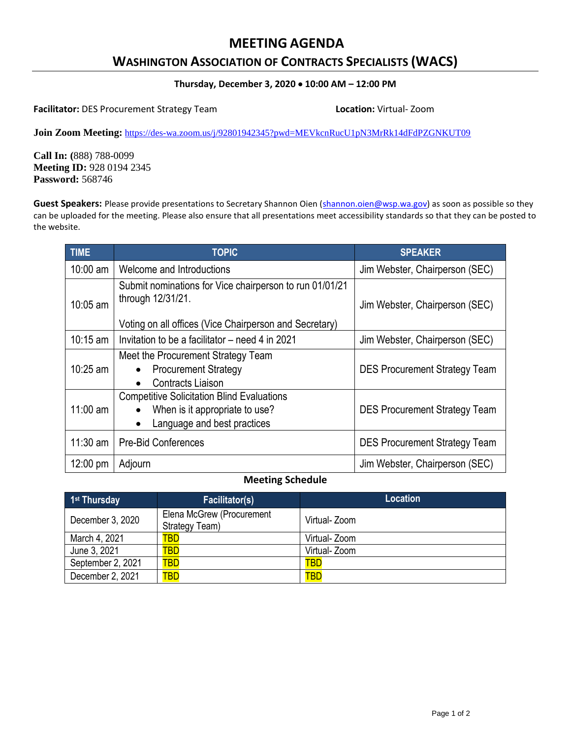# **MEETING AGENDA**

# **WASHINGTON ASSOCIATION OF CONTRACTS SPECIALISTS (WACS)**

#### **Thursday, December 3, 2020 10:00 AM – 12:00 PM**

**Facilitator:** DES Procurement Strategy Team **Location:** Virtual- Zoom

**Join Zoom Meeting:** <https://des-wa.zoom.us/j/92801942345?pwd=MEVkcnRucU1pN3MrRk14dFdPZGNKUT09>

**Call In: (**888) 788-0099 **Meeting ID:** 928 0194 2345 **Password:** 568746

Guest Speakers: Please provide presentations to Secretary Shannon Oien [\(shannon.oien@wsp.wa.gov\)](mailto:shannon.oien@wsp.wa.gov) as soon as possible so they can be uploaded for the meeting. Please also ensure that all presentations meet accessibility standards so that they can be posted to the website.

| TIME               | <b>TOPIC</b>                                                                                                                    | <b>SPEAKER</b>                       |
|--------------------|---------------------------------------------------------------------------------------------------------------------------------|--------------------------------------|
| $10:00$ am         | Welcome and Introductions                                                                                                       | Jim Webster, Chairperson (SEC)       |
| $10:05$ am         | Submit nominations for Vice chairperson to run 01/01/21<br>through 12/31/21.                                                    | Jim Webster, Chairperson (SEC)       |
|                    | Voting on all offices (Vice Chairperson and Secretary)                                                                          |                                      |
| $10:15$ am         | Invitation to be a facilitator – need 4 in 2021                                                                                 | Jim Webster, Chairperson (SEC)       |
| $10:25$ am         | Meet the Procurement Strategy Team<br><b>Procurement Strategy</b><br><b>Contracts Liaison</b><br>$\bullet$                      | <b>DES Procurement Strategy Team</b> |
| $11:00$ am         | <b>Competitive Solicitation Blind Evaluations</b><br>When is it appropriate to use?<br>Language and best practices<br>$\bullet$ | <b>DES Procurement Strategy Team</b> |
| $11:30$ am         | <b>Pre-Bid Conferences</b>                                                                                                      | <b>DES Procurement Strategy Team</b> |
| $12:00 \text{ pm}$ | Adjourn                                                                                                                         | Jim Webster, Chairperson (SEC)       |

#### **Meeting Schedule**

| 1 <sup>st</sup> Thursday | <b>Facilitator(s)</b>                       | <b>Location</b> |
|--------------------------|---------------------------------------------|-----------------|
| December 3, 2020         | Elena McGrew (Procurement<br>Strategy Team) | Virtual- Zoom   |
| March 4, 2021            | TBD                                         | Virtual- Zoom   |
| June 3, 2021             | TBD                                         | Virtual- Zoom   |
| September 2, 2021        | <b>TBD</b>                                  | <b>TBD</b>      |
| December 2, 2021         | <b>TBD</b>                                  | <b>TBD</b>      |